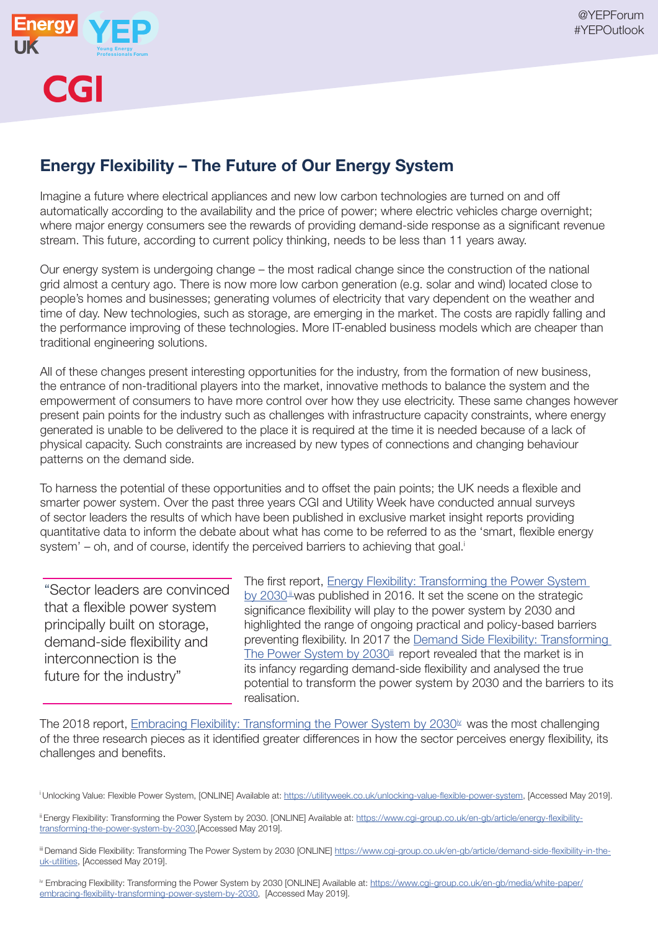



## Energy Flexibility – The Future of Our Energy System

Imagine a future where electrical appliances and new low carbon technologies are turned on and off automatically according to the availability and the price of power; where electric vehicles charge overnight; where major energy consumers see the rewards of providing demand-side response as a significant revenue stream. This future, according to current policy thinking, needs to be less than 11 years away.

Our energy system is undergoing change – the most radical change since the construction of the national grid almost a century ago. There is now more low carbon generation (e.g. solar and wind) located close to people's homes and businesses; generating volumes of electricity that vary dependent on the weather and time of day. New technologies, such as storage, are emerging in the market. The costs are rapidly falling and the performance improving of these technologies. More IT-enabled business models which are cheaper than traditional engineering solutions.

All of these changes present interesting opportunities for the industry, from the formation of new business, the entrance of non-traditional players into the market, innovative methods to balance the system and the empowerment of consumers to have more control over how they use electricity. These same changes however present pain points for the industry such as challenges with infrastructure capacity constraints, where energy generated is unable to be delivered to the place it is required at the time it is needed because of a lack of physical capacity. Such constraints are increased by new types of connections and changing behaviour patterns on the demand side.

To harness the potential of these opportunities and to offset the pain points; the UK needs a flexible and smarter power system. Over the past three years CGI and Utility Week have conducted annual surveys of sector leaders the results of which have been published in exclusive market insight reports providing quantitative data to inform the debate about what has come to be referred to as the 'smart, flexible energy system' – oh, and of course, identify the perceived barriers to achieving that goal.<sup>i</sup>

"Sector leaders are convinced that a flexible power system principally built on storage, demand-side flexibility and interconnection is the future for the industry"

The first report, Energy Flexibility: Transforming the Power System by  $2030$ <sup>ii</sup> was published in 2016. It set the scene on the strategic significance flexibility will play to the power system by 2030 and highlighted the range of ongoing practical and policy-based barriers preventing flexibility. In 2017 the Demand Side Flexibility: Transforming The Power System by  $2030^{\text{iii}}$  report revealed that the market is in its infancy regarding demand-side flexibility and analysed the true potential to transform the power system by 2030 and the barriers to its realisation.

The 2018 report, Embracing Flexibility: Transforming the Power System by  $2030<sup>\mu</sup>$  was the most challenging of the three research pieces as it identified greater differences in how the sector perceives energy flexibility, its challenges and benefits.

<sup>i</sup> Unlocking Value: Flexible Power System, [ONLINE] Available at: https://utilityweek.co.uk/unlocking-value-flexible-power-system, [Accessed May 2019].

ii Energy Flexibility: Transforming the Power System by 2030. [ONLINE] Available at: https://www.cgi-group.co.uk/en-gb/article/energy-flexibilitytransforming-the-power-system-by-2030,[Accessed May 2019].

iii Demand Side Flexibility: Transforming The Power System by 2030 [ONLINE] https://www.cgi-group.co.uk/en-gb/article/demand-side-flexibility-in-theuk-utilities, [Accessed May 2019].

iv Embracing Flexibility: Transforming the Power System by 2030 [ONLINE] Available at: https://www.cgi-group.co.uk/en-gb/media/white-paper/ embracing-flexibility-transforming-power-system-by-2030, [Accessed May 2019].